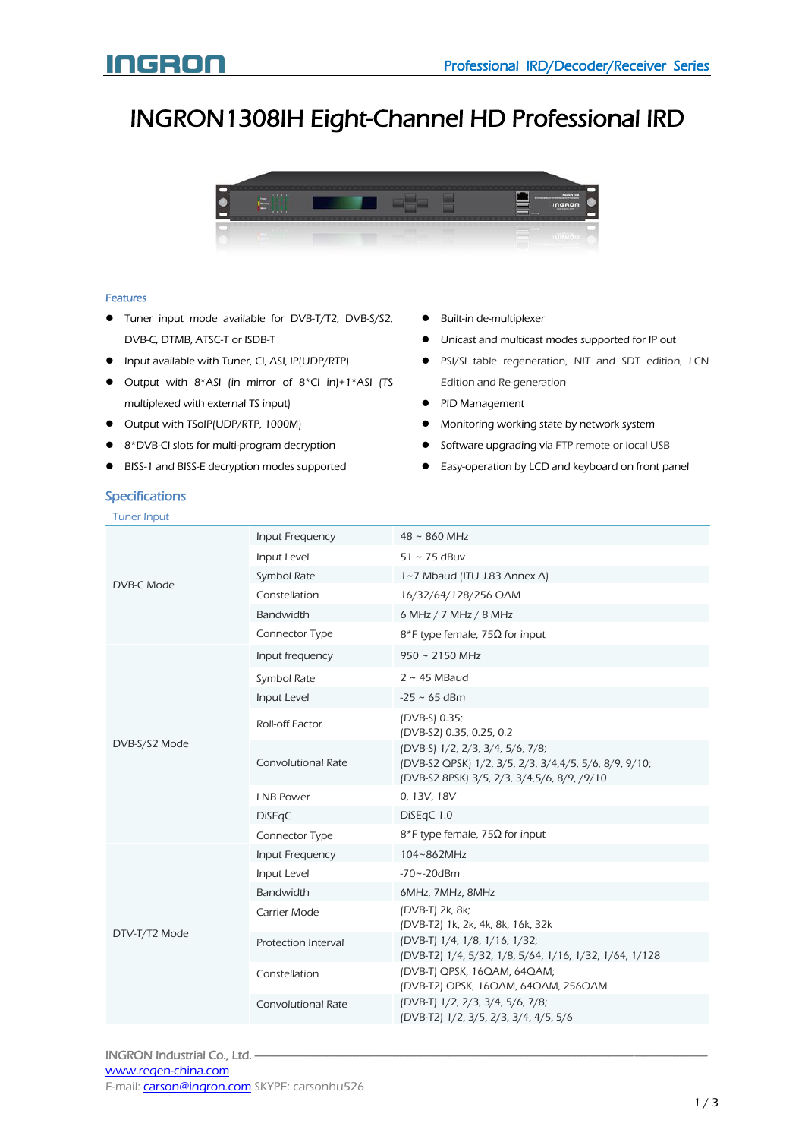# INGRON1308IH Eight-Channel HD Professional IRD



### Features

- Tuner input mode available for DVB-T/T2, DVB-S/S2, DVB-C, DTMB, ATSC-T or ISDB-T
- **•** Input available with Tuner, CI, ASI, IP(UDP/RTP)
- $\bullet$  Output with 8\*ASI (in mirror of 8\*CI in)+1\*ASI (TS multiplexed with external TS input)
- Output with TSoIP(UDP/RTP, 1000M)
- 8\*DVB-CI slots for multi-program decryption
- BISS-1 and BISS-E decryption modes supported
- Built-in de-multiplexer
- Unicast and multicast modes supported for IP out
- PSI/SI table regeneration, NIT and SDT edition, LCN Edition and Re-generation
- PID Management
- $\bullet$  Monitoring working state by network system
- **•** Software upgrading via FTP remote or local USB
- Easy-operation by LCD and keyboard on front panel

# **Specifications**

| <b>Tuner Input</b> |                            |                                                                                                                                          |
|--------------------|----------------------------|------------------------------------------------------------------------------------------------------------------------------------------|
| DVB-C Mode         | Input Frequency            | $48 \sim 860$ MHz                                                                                                                        |
|                    | Input Level                | $51 \sim 75$ dBuv                                                                                                                        |
|                    | Symbol Rate                | 1~7 Mbaud (ITU J.83 Annex A)                                                                                                             |
|                    | Constellation              | 16/32/64/128/256 QAM                                                                                                                     |
|                    | <b>Bandwidth</b>           | 6 MHz / 7 MHz / 8 MHz                                                                                                                    |
|                    | Connector Type             | $8*$ F type female, 75 $\Omega$ for input                                                                                                |
|                    | Input frequency            | $950 \sim 2150$ MHz                                                                                                                      |
|                    | Symbol Rate                | $2 \sim 45$ MBaud                                                                                                                        |
|                    | Input Level                | $-25 \sim 65$ dBm                                                                                                                        |
| DVB-S/S2 Mode      | Roll-off Factor            | (DVB-S) 0.35;<br>(DVB-S2) 0.35, 0.25, 0.2                                                                                                |
|                    | <b>Convolutional Rate</b>  | (DVB-S) 1/2, 2/3, 3/4, 5/6, 7/8;<br>(DVB-S2 QPSK) 1/2, 3/5, 2/3, 3/4,4/5, 5/6, 8/9, 9/10;<br>(DVB-S2 8PSK) 3/5, 2/3, 3/4,5/6, 8/9, /9/10 |
|                    | <b>LNB Power</b>           | 0, 13V, 18V                                                                                                                              |
|                    | <b>DiSEqC</b>              | DiSEqC 1.0                                                                                                                               |
|                    | Connector Type             | $8*$ F type female, 75 $\Omega$ for input                                                                                                |
| DTV-T/T2 Mode      | <b>Input Frequency</b>     | 104~862MHz                                                                                                                               |
|                    | Input Level                | $-70 - -20$ dBm                                                                                                                          |
|                    | <b>Bandwidth</b>           | 6MHz, 7MHz, 8MHz                                                                                                                         |
|                    | Carrier Mode               | (DVB-T) 2k, 8k;<br>(DVB-T2) 1k, 2k, 4k, 8k, 16k, 32k                                                                                     |
|                    | <b>Protection Interval</b> | (DVB-T) 1/4, 1/8, 1/16, 1/32;<br>(DVB-T2) 1/4, 5/32, 1/8, 5/64, 1/16, 1/32, 1/64, 1/128                                                  |
|                    | Constellation              | (DVB-T) QPSK, 16QAM, 64QAM;<br>(DVB-T2) QPSK, 16QAM, 64QAM, 256QAM                                                                       |
|                    | <b>Convolutional Rate</b>  | (DVB-T) 1/2, 2/3, 3/4, 5/6, 7/8;<br>(DVB-T2) 1/2, 3/5, 2/3, 3/4, 4/5, 5/6                                                                |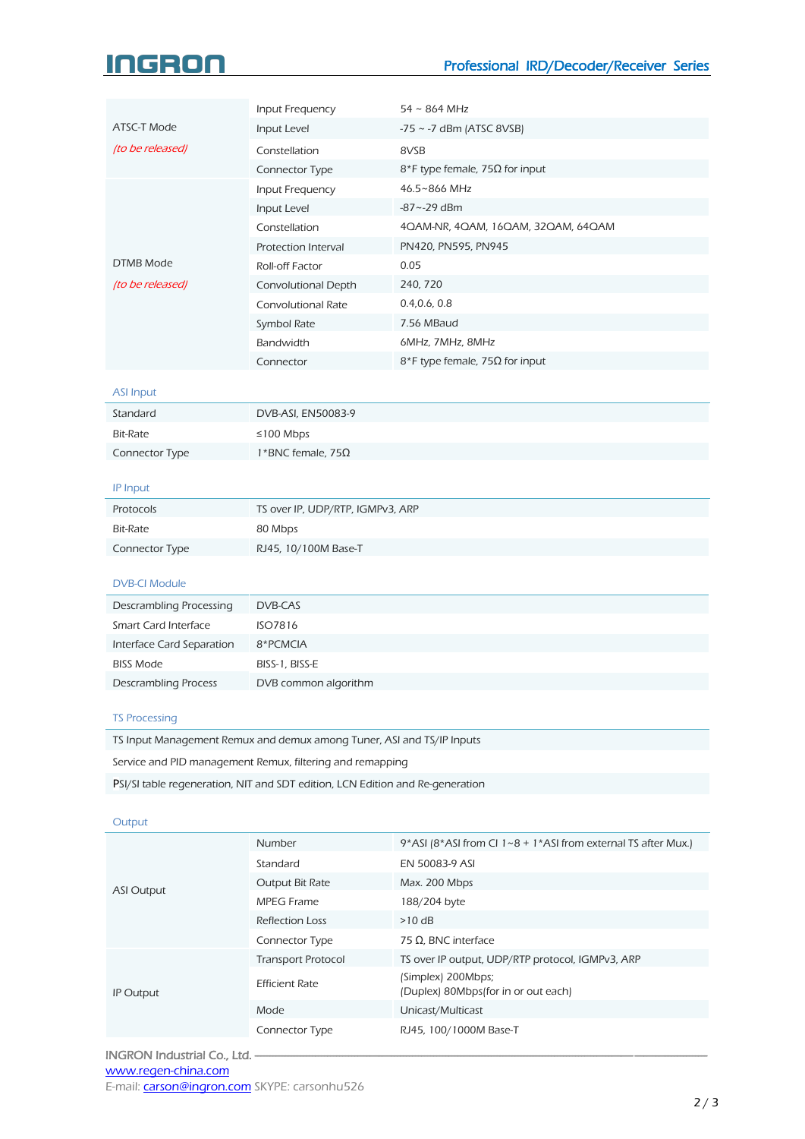# 16301

|                  | Input Frequency           | $54 \sim 864$ MHz                  |
|------------------|---------------------------|------------------------------------|
| ATSC-T Mode      | Input Level               | $-75 \sim -7$ dBm (ATSC 8VSB)      |
| (to be released) | Constellation             | 8VSB                               |
|                  | Connector Type            | $8$ *F type female, 75Ω for input  |
|                  | Input Frequency           | 46.5~866 MHz                       |
|                  | Input Level               | $-87 - -29$ dBm                    |
|                  | Constellation             | 4QAM-NR, 4QAM, 16QAM, 32QAM, 64QAM |
|                  | Protection Interval       | PN420, PN595, PN945                |
| DTMB Mode        | Roll-off Factor           | 0.05                               |
| (to be released) | Convolutional Depth       | 240, 720                           |
|                  | <b>Convolutional Rate</b> | 0.4, 0.6, 0.8                      |
|                  | Symbol Rate               | 7.56 MBaud                         |
|                  | <b>Bandwidth</b>          | 6MHz, 7MHz, 8MHz                   |
|                  | Connector                 | $8$ *F type female, 75Ω for input  |

## ASI Input

| Standard       | DVB-ASI, EN50083-9       |
|----------------|--------------------------|
| Bit-Rate       | ≤100 Mbps                |
| Connector Type | 1*BNC female, $75\Omega$ |

# IP Input

| Protocols      | TS over IP, UDP/RTP, IGMPv3, ARP |
|----------------|----------------------------------|
| Bit-Rate       | 80 Mbps                          |
| Connector Type | RJ45, 10/100M Base-T             |

# DVB-CI Module

| Descrambling Processing     | DVB-CAS              |
|-----------------------------|----------------------|
| Smart Card Interface        | ISO7816              |
| Interface Card Separation   | 8*PCMCIA             |
| <b>BISS Mode</b>            | BISS-1, BISS-E       |
| <b>Descrambling Process</b> | DVB common algorithm |

# TS Processing

TS Input Management Remux and demux among Tuner, ASI and TS/IP Inputs

Service and PID management Remux, filtering and remapping

PSI/SI table regeneration, NIT and SDT edition, LCN Edition and Re-generation

## Output

| <b>ASI Output</b> | Number                    | 9*ASI (8*ASI from CI $1~8 + 1$ *ASI from external TS after Mux.) |
|-------------------|---------------------------|------------------------------------------------------------------|
|                   | Standard                  | EN 50083-9 ASI                                                   |
|                   | Output Bit Rate           | Max. 200 Mbps                                                    |
|                   | MPEG Frame                | 188/204 byte                                                     |
|                   | <b>Reflection Loss</b>    | $>10$ dB                                                         |
|                   | Connector Type            | 75 Ω, BNC interface                                              |
| <b>IP Output</b>  | <b>Transport Protocol</b> | TS over IP output, UDP/RTP protocol, IGMPv3, ARP                 |
|                   | <b>Efficient Rate</b>     | (Simplex) 200Mbps;<br>(Duplex) 80Mbps for in or out each)        |
|                   | Mode                      | Unicast/Multicast                                                |
|                   | <b>Connector Type</b>     | RJ45, 100/1000M Base-T                                           |